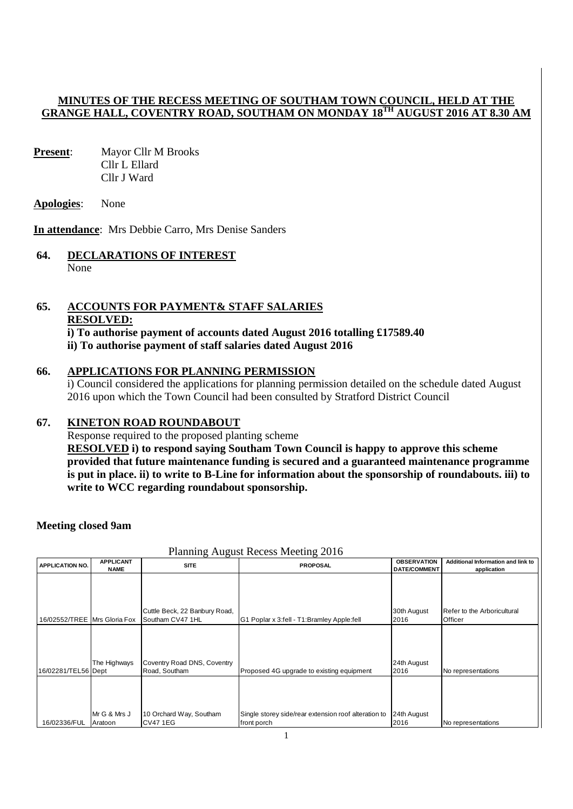## **MINUTES OF THE RECESS MEETING OF SOUTHAM TOWN COUNCIL, HELD AT THE GRANGE HALL, COVENTRY ROAD, SOUTHAM ON MONDAY 18TH AUGUST 2016 AT 8.30 AM**

- **Present:** Mayor Cllr M Brooks Cllr L Ellard Cllr J Ward
- **Apologies**: None

**In attendance**: Mrs Debbie Carro, Mrs Denise Sanders

## **64. DECLARATIONS OF INTEREST** None

# **65. ACCOUNTS FOR PAYMENT& STAFF SALARIES RESOLVED:**

**i) To authorise payment of accounts dated August 2016 totalling £17589.40 ii) To authorise payment of staff salaries dated August 2016** 

## **66. APPLICATIONS FOR PLANNING PERMISSION**

i) Council considered the applications for planning permission detailed on the schedule dated August 2016 upon which the Town Council had been consulted by Stratford District Council

## **67. KINETON ROAD ROUNDABOUT**

Response required to the proposed planting scheme **RESOLVED i) to respond saying Southam Town Council is happy to approve this scheme provided that future maintenance funding is secured and a guaranteed maintenance programme is put in place. ii) to write to B-Line for information about the sponsorship of roundabouts. iii) to write to WCC regarding roundabout sponsorship.** 

## **Meeting closed 9am**

| <b>APPLICATION NO.</b>       | <b>APPLICANT</b><br><b>NAME</b> | <b>SITE</b>                                       | <b>PROPOSAL</b>                                      | <b>OBSERVATION</b><br><b>DATE/COMMENT</b> | Additional Information and link to<br>application |
|------------------------------|---------------------------------|---------------------------------------------------|------------------------------------------------------|-------------------------------------------|---------------------------------------------------|
|                              |                                 |                                                   |                                                      |                                           |                                                   |
|                              |                                 |                                                   |                                                      |                                           |                                                   |
| 16/02552/TREE Mrs Gloria Fox |                                 | Cuttle Beck, 22 Banbury Road,<br>Southam CV47 1HL | G1 Poplar x 3:fell - T1: Bramley Apple: fell         | 30th August<br>2016                       | Refer to the Arboricultural<br>Officer            |
|                              |                                 |                                                   |                                                      |                                           |                                                   |
|                              |                                 |                                                   |                                                      |                                           |                                                   |
|                              | The Highways                    | Coventry Road DNS, Coventry                       |                                                      | 24th August                               |                                                   |
| 16/02281/TEL56 Dept          |                                 | Road, Southam                                     | Proposed 4G upgrade to existing equipment            | 2016                                      | No representations                                |
|                              |                                 |                                                   |                                                      |                                           |                                                   |
|                              |                                 |                                                   |                                                      |                                           |                                                   |
|                              | Mr G & Mrs J                    | 10 Orchard Way, Southam                           | Single storey side/rear extension roof alteration to | 24th August                               |                                                   |
| 16/02336/FUL                 | Aratoon                         | <b>CV47 1EG</b>                                   | front porch                                          | 2016                                      | No representations                                |

#### Planning August Recess Meeting 2016